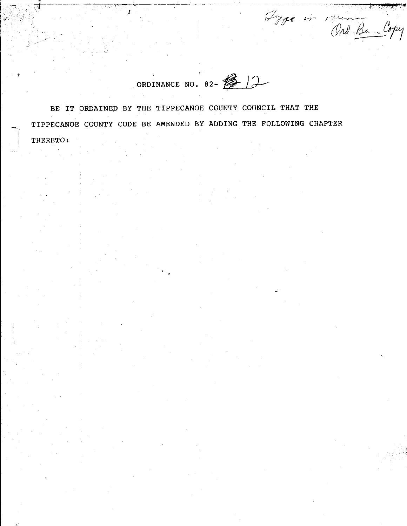ORDINANCE NO. 82- 12

Type in mining Copy

BE IT ORDAINED BY THE TIPPECANOE COUNTY COUNCIL THAT THE TIPPECANOE COUNTY CODE BE AMENDED BY ADDING THE FOLLOWING CHAPTER THERETO: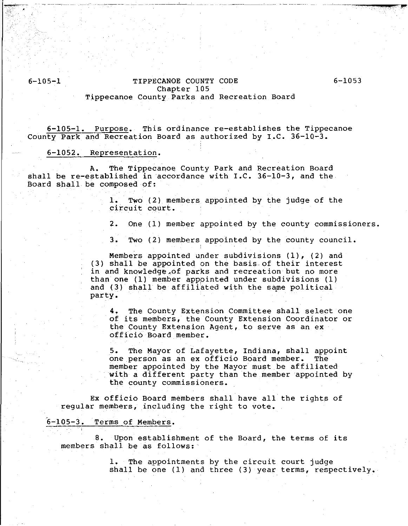## 6-105-1 TIPPECANOE COUNTY CODE Chapter 105 Tippecanoe County Parks and Recreation Board

...,..-.... ~"""'~-,,,.

6-105-1. Purpose. This ordinance re-establishes the Tippecanoe County Park and Recreation Board as authorized by  $I.C. 36-10-3.$ 

#### 6-1052. Representation.

~--:--- ' -------·--------------"

A. The Tippecanoe County Park and Recreation Board shall be re-established in accordance with I.C. 36-10-3, and the Board shall be composed of:

> 1. Two (2) members appointed by the judge of the circuit court.

2. One (1) member appointed by the county commissioners.

3. Two (2) members appointed by the county council.

Members appointed under subdivisions  $(1)$ ,  $(2)$  and (3) shall be appointed on the basis.of their interest in and knowledge,of parks and recreation but no more than one (1) member apppinted under subdivisions (1) and (3) shall be affiliated with the same political party.

4. The County Extension Committee shall select one of its members, the County Extension Coordinator or the County Extension Agent, to serve as an ex officio Board member.

5. The Mayor of Lafayette, Indiana, shall appoint one person as an ex officio Board member. The member appointed by the Mayor must be affiliated with a different party than the member appointed by the county commissioners.

Ex officio Board members shall have all the rights of regular members, including the right to vote.

#### 6-105-3. Terms of Members.

B. Upon establishment of the Board, the terms of its members shall be as follows:

> 1. The appointments by the circuit court judge shall be one (1) and three (3) year terms, respectively.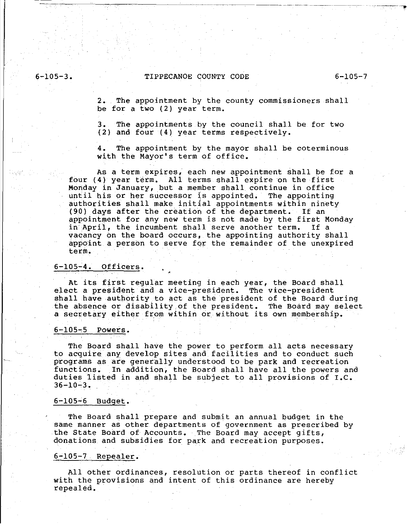## 6-105-3. TIPPECANOE COUNTY CODE 6-105-7

2. The appointment by the county commissioners shall be for a two (2) year term.

3. The appointments by the council shall be for two (2) and four (4) year terms respectively.

4. The appointment by the mayor shall be coterminous with the Mayor's term of office.

As a term expires, each new appointment shall be for a four (4) year term. All terms shall expire on the first Monday in January, but a member shall continue in office until his or her successor is appointed. The appointing authorities shall make initial appointments within ninety (90) days after the creation of the department. If an appointment for any new term is not made by the first Monday in April, the incumbent shall serve another term. If a vacancy on the board occurs, the appointing authority shall appoint a person to serve for the remainder of the unexpired term.

### 6-105~4. Officers.

At its first regular meeting in each year, the Board shall elect a president and a vice-president. The vice-president shall have authority.to act as the president of the Board during the absence or disability of the president. The Board may select a secretary either from within or without its own membership.

#### $6-105-5$  Powers.

The Board shall have the power to perform all acts necessary to acquire any develop sites and facilities and to conduct such programs as are generally understood to be park and recreation functions. In addition, the Board shall have all the powers and duties listed in and shall be subject to all provisions of  $I.C.$ 36-10-3.

#### $6-105-6$  Budget.

The Board shall prepare and submit an annual budget in the same manner as other departments of government as prescribed by the State Board of Accounts. The Board may accept gifts, donations and subsidies for park and recreation purposes.

#### 6-105-7 Repealer.

All other ordinances, resolution or parts thereof in conflict with the provisions and intent of this ordinance are hereby repealed.

·--1"'